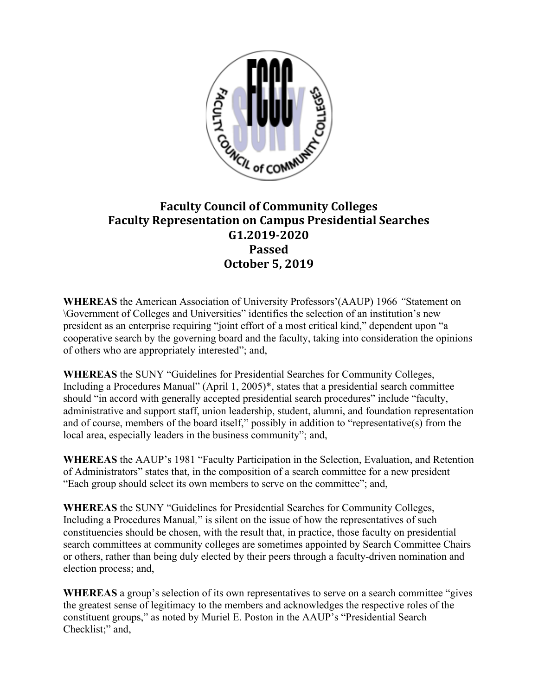

## **Faculty Council of Community Colleges Faculty Representation on Campus Presidential Searches G1.2019-2020 Passed October 5, 2019**

**WHEREAS** the American Association of University Professors'(AAUP) 1966 *"*Statement on \Government of Colleges and Universities" identifies the selection of an institution's new president as an enterprise requiring "joint effort of a most critical kind," dependent upon "a cooperative search by the governing board and the faculty, taking into consideration the opinions of others who are appropriately interested"; and,

**WHEREAS** the SUNY "Guidelines for Presidential Searches for Community Colleges, Including a Procedures Manual" (April 1, 2005)\*, states that a presidential search committee should "in accord with generally accepted presidential search procedures" include "faculty, administrative and support staff, union leadership, student, alumni, and foundation representation and of course, members of the board itself," possibly in addition to "representative(s) from the local area, especially leaders in the business community"; and,

**WHEREAS** the AAUP's 1981 "Faculty Participation in the Selection, Evaluation, and Retention of Administrators" states that, in the composition of a search committee for a new president "Each group should select its own members to serve on the committee"; and,

**WHEREAS** the SUNY "Guidelines for Presidential Searches for Community Colleges, Including a Procedures Manual*,*" is silent on the issue of how the representatives of such constituencies should be chosen, with the result that, in practice, those faculty on presidential search committees at community colleges are sometimes appointed by Search Committee Chairs or others, rather than being duly elected by their peers through a faculty-driven nomination and election process; and,

**WHEREAS** a group's selection of its own representatives to serve on a search committee "gives the greatest sense of legitimacy to the members and acknowledges the respective roles of the constituent groups," as noted by Muriel E. Poston in the AAUP's "Presidential Search Checklist;" and,